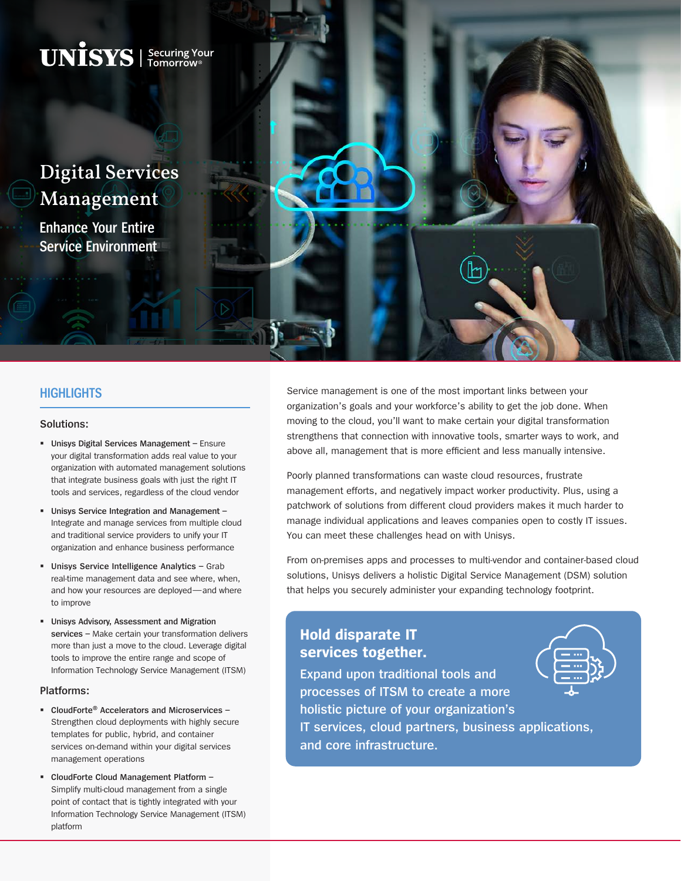

### **HIGHLIGHTS**

#### **Solutions:**

- **Unisys Digital Services Management** Ensure your digital transformation adds real value to your organization with automated management solutions that integrate business goals with just the right IT tools and services, regardless of the cloud vendor
- **Unisys Service Integration and Management –** Integrate and manage services from multiple cloud and traditional service providers to unify your IT organization and enhance business performance
- **Unisys Service Intelligence Analytics –** Grab real-time management data and see where, when, and how your resources are deployed—and where to improve
- **Unisys Advisory, Assessment and Migration services –** Make certain your transformation delivers more than just a move to the cloud. Leverage digital tools to improve the entire range and scope of Information Technology Service Management (ITSM)

#### **Platforms:**

- **CloudForte® Accelerators and Microservices –** Strengthen cloud deployments with highly secure templates for public, hybrid, and container services on-demand within your digital services management operations
- **CloudForte Cloud Management Platform –** Simplify multi-cloud management from a single point of contact that is tightly integrated with your Information Technology Service Management (ITSM) platform

Service management is one of the most important links between your organization's goals and your workforce's ability to get the job done. When moving to the cloud, you'll want to make certain your digital transformation strengthens that connection with innovative tools, smarter ways to work, and above all, management that is more efficient and less manually intensive.

Poorly planned transformations can waste cloud resources, frustrate management efforts, and negatively impact worker productivity. Plus, using a patchwork of solutions from different cloud providers makes it much harder to manage individual applications and leaves companies open to costly IT issues. You can meet these challenges head on with Unisys.

From on-premises apps and processes to multi-vendor and container-based cloud solutions, Unisys delivers a holistic Digital Service Management (DSM) solution that helps you securely administer your expanding technology footprint.

# **Hold disparate IT services together.**

**Expand upon traditional tools and processes of ITSM to create a more holistic picture of your organization's IT services, cloud partners, business applications, and core infrastructure.**